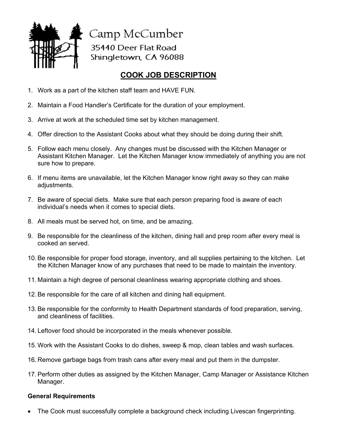

Camp McCumber 35440 Deer Flat Road Shingletown, CA 96088

## **COOK JOB DESCRIPTION**

- 1. Work as a part of the kitchen staff team and HAVE FUN.
- 2. Maintain a Food Handler's Certificate for the duration of your employment.
- 3. Arrive at work at the scheduled time set by kitchen management.
- 4. Offer direction to the Assistant Cooks about what they should be doing during their shift.
- 5. Follow each menu closely. Any changes must be discussed with the Kitchen Manager or Assistant Kitchen Manager. Let the Kitchen Manager know immediately of anything you are not sure how to prepare.
- 6. If menu items are unavailable, let the Kitchen Manager know right away so they can make adjustments.
- 7. Be aware of special diets. Make sure that each person preparing food is aware of each individual's needs when it comes to special diets.
- 8. All meals must be served hot, on time, and be amazing.
- 9. Be responsible for the cleanliness of the kitchen, dining hall and prep room after every meal is cooked an served.
- 10. Be responsible for proper food storage, inventory, and all supplies pertaining to the kitchen. Let the Kitchen Manager know of any purchases that need to be made to maintain the inventory.
- 11. Maintain a high degree of personal cleanliness wearing appropriate clothing and shoes.
- 12. Be responsible for the care of all kitchen and dining hall equipment.
- 13. Be responsible for the conformity to Health Department standards of food preparation, serving, and cleanliness of facilities.
- 14. Leftover food should be incorporated in the meals whenever possible.
- 15. Work with the Assistant Cooks to do dishes, sweep & mop, clean tables and wash surfaces.
- 16. Remove garbage bags from trash cans after every meal and put them in the dumpster.
- 17. Perform other duties as assigned by the Kitchen Manager, Camp Manager or Assistance Kitchen Manager.

## **General Requirements**

• The Cook must successfully complete a background check including Livescan fingerprinting.